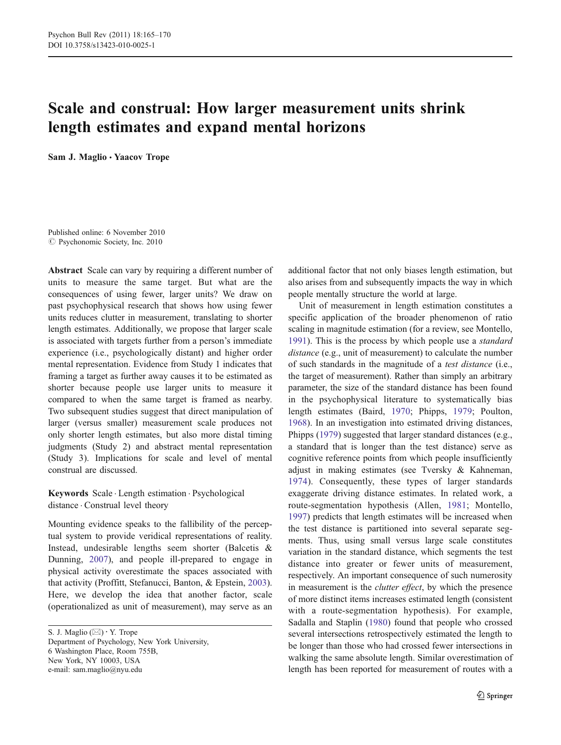# Scale and construal: How larger measurement units shrink length estimates and expand mental horizons

Sam J. Maglio · Yaacov Trope

Published online: 6 November 2010  $©$  Psychonomic Society, Inc. 2010

Abstract Scale can vary by requiring a different number of units to measure the same target. But what are the consequences of using fewer, larger units? We draw on past psychophysical research that shows how using fewer units reduces clutter in measurement, translating to shorter length estimates. Additionally, we propose that larger scale is associated with targets further from a person's immediate experience (i.e., psychologically distant) and higher order mental representation. Evidence from Study 1 indicates that framing a target as further away causes it to be estimated as shorter because people use larger units to measure it compared to when the same target is framed as nearby. Two subsequent studies suggest that direct manipulation of larger (versus smaller) measurement scale produces not only shorter length estimates, but also more distal timing judgments (Study 2) and abstract mental representation (Study 3). Implications for scale and level of mental construal are discussed.

Keywords Scale . Length estimation . Psychological distance . Construal level theory

Mounting evidence speaks to the fallibility of the perceptual system to provide veridical representations of reality. Instead, undesirable lengths seem shorter (Balcetis & Dunning, [2007\)](#page-4-0), and people ill-prepared to engage in physical activity overestimate the spaces associated with that activity (Proffitt, Stefanucci, Banton, & Epstein, [2003](#page-5-0)). Here, we develop the idea that another factor, scale (operationalized as unit of measurement), may serve as an

S. J. Maglio  $(\boxtimes) \cdot Y$ . Trope Department of Psychology, New York University, 6 Washington Place, Room 755B, New York, NY 10003, USA e-mail: sam.maglio@nyu.edu

additional factor that not only biases length estimation, but also arises from and subsequently impacts the way in which people mentally structure the world at large.

Unit of measurement in length estimation constitutes a specific application of the broader phenomenon of ratio scaling in magnitude estimation (for a review, see Montello, [1991](#page-5-0)). This is the process by which people use a standard distance (e.g., unit of measurement) to calculate the number of such standards in the magnitude of a test distance (i.e., the target of measurement). Rather than simply an arbitrary parameter, the size of the standard distance has been found in the psychophysical literature to systematically bias length estimates (Baird, [1970;](#page-4-0) Phipps, [1979](#page-5-0); Poulton, [1968](#page-5-0)). In an investigation into estimated driving distances, Phipps ([1979\)](#page-5-0) suggested that larger standard distances (e.g., a standard that is longer than the test distance) serve as cognitive reference points from which people insufficiently adjust in making estimates (see Tversky & Kahneman, [1974\)](#page-5-0). Consequently, these types of larger standards exaggerate driving distance estimates. In related work, a route-segmentation hypothesis (Allen, [1981](#page-4-0); Montello, [1997](#page-5-0)) predicts that length estimates will be increased when the test distance is partitioned into several separate segments. Thus, using small versus large scale constitutes variation in the standard distance, which segments the test distance into greater or fewer units of measurement, respectively. An important consequence of such numerosity in measurement is the clutter effect, by which the presence of more distinct items increases estimated length (consistent with a route-segmentation hypothesis). For example, Sadalla and Staplin ([1980\)](#page-5-0) found that people who crossed several intersections retrospectively estimated the length to be longer than those who had crossed fewer intersections in walking the same absolute length. Similar overestimation of length has been reported for measurement of routes with a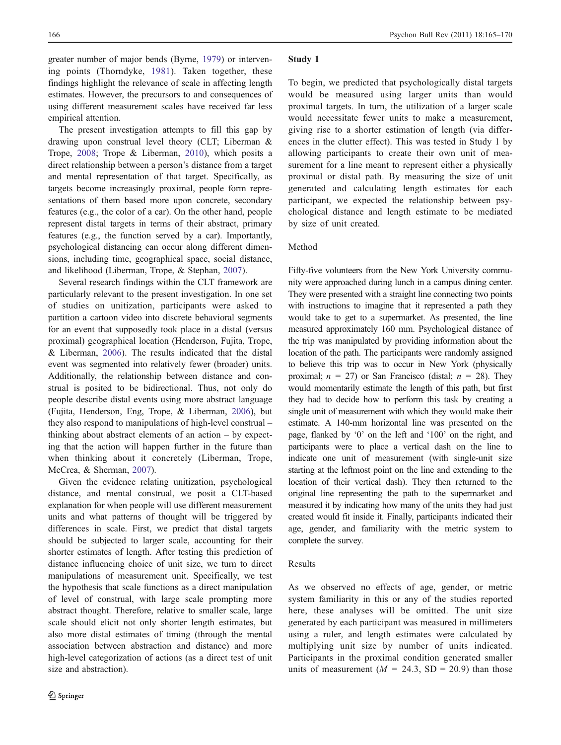greater number of major bends (Byrne, [1979\)](#page-4-0) or intervening points (Thorndyke, [1981](#page-5-0)). Taken together, these findings highlight the relevance of scale in affecting length estimates. However, the precursors to and consequences of using different measurement scales have received far less empirical attention.

The present investigation attempts to fill this gap by drawing upon construal level theory (CLT; Liberman & Trope, [2008;](#page-5-0) Trope & Liberman, [2010\)](#page-5-0), which posits a direct relationship between a person's distance from a target and mental representation of that target. Specifically, as targets become increasingly proximal, people form representations of them based more upon concrete, secondary features (e.g., the color of a car). On the other hand, people represent distal targets in terms of their abstract, primary features (e.g., the function served by a car). Importantly, psychological distancing can occur along different dimensions, including time, geographical space, social distance, and likelihood (Liberman, Trope, & Stephan, [2007](#page-5-0)).

Several research findings within the CLT framework are particularly relevant to the present investigation. In one set of studies on unitization, participants were asked to partition a cartoon video into discrete behavioral segments for an event that supposedly took place in a distal (versus proximal) geographical location (Henderson, Fujita, Trope, & Liberman, [2006](#page-4-0)). The results indicated that the distal event was segmented into relatively fewer (broader) units. Additionally, the relationship between distance and construal is posited to be bidirectional. Thus, not only do people describe distal events using more abstract language (Fujita, Henderson, Eng, Trope, & Liberman, [2006](#page-4-0)), but they also respond to manipulations of high-level construal – thinking about abstract elements of an action – by expecting that the action will happen further in the future than when thinking about it concretely (Liberman, Trope, McCrea, & Sherman, [2007](#page-5-0)).

Given the evidence relating unitization, psychological distance, and mental construal, we posit a CLT-based explanation for when people will use different measurement units and what patterns of thought will be triggered by differences in scale. First, we predict that distal targets should be subjected to larger scale, accounting for their shorter estimates of length. After testing this prediction of distance influencing choice of unit size, we turn to direct manipulations of measurement unit. Specifically, we test the hypothesis that scale functions as a direct manipulation of level of construal, with large scale prompting more abstract thought. Therefore, relative to smaller scale, large scale should elicit not only shorter length estimates, but also more distal estimates of timing (through the mental association between abstraction and distance) and more high-level categorization of actions (as a direct test of unit size and abstraction).

## Study 1

To begin, we predicted that psychologically distal targets would be measured using larger units than would proximal targets. In turn, the utilization of a larger scale would necessitate fewer units to make a measurement, giving rise to a shorter estimation of length (via differences in the clutter effect). This was tested in Study 1 by allowing participants to create their own unit of measurement for a line meant to represent either a physically proximal or distal path. By measuring the size of unit generated and calculating length estimates for each participant, we expected the relationship between psychological distance and length estimate to be mediated by size of unit created.

# Method

Fifty-five volunteers from the New York University community were approached during lunch in a campus dining center. They were presented with a straight line connecting two points with instructions to imagine that it represented a path they would take to get to a supermarket. As presented, the line measured approximately 160 mm. Psychological distance of the trip was manipulated by providing information about the location of the path. The participants were randomly assigned to believe this trip was to occur in New York (physically proximal;  $n = 27$ ) or San Francisco (distal;  $n = 28$ ). They would momentarily estimate the length of this path, but first they had to decide how to perform this task by creating a single unit of measurement with which they would make their estimate. A 140-mm horizontal line was presented on the page, flanked by '0' on the left and '100' on the right, and participants were to place a vertical dash on the line to indicate one unit of measurement (with single-unit size starting at the leftmost point on the line and extending to the location of their vertical dash). They then returned to the original line representing the path to the supermarket and measured it by indicating how many of the units they had just created would fit inside it. Finally, participants indicated their age, gender, and familiarity with the metric system to complete the survey.

# Results

As we observed no effects of age, gender, or metric system familiarity in this or any of the studies reported here, these analyses will be omitted. The unit size generated by each participant was measured in millimeters using a ruler, and length estimates were calculated by multiplying unit size by number of units indicated. Participants in the proximal condition generated smaller units of measurement ( $M = 24.3$ , SD = 20.9) than those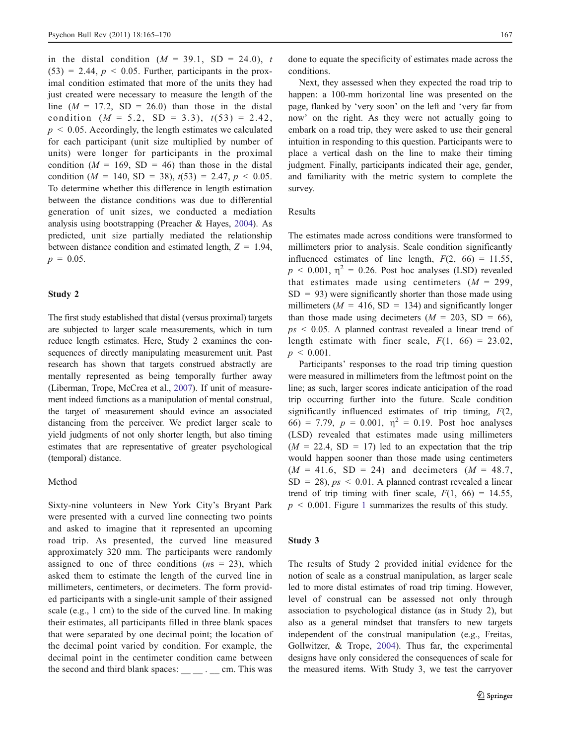in the distal condition  $(M = 39.1, SD = 24.0)$ , t  $(53) = 2.44$ ,  $p < 0.05$ . Further, participants in the proximal condition estimated that more of the units they had just created were necessary to measure the length of the line  $(M = 17.2, SD = 26.0)$  than those in the distal condition  $(M = 5.2, SD = 3.3), t(53) = 2.42,$  $p \le 0.05$ . Accordingly, the length estimates we calculated for each participant (unit size multiplied by number of units) were longer for participants in the proximal condition ( $M = 169$ , SD = 46) than those in the distal condition ( $M = 140$ , SD = 38),  $t(53) = 2.47$ ,  $p < 0.05$ . To determine whether this difference in length estimation between the distance conditions was due to differential generation of unit sizes, we conducted a mediation analysis using bootstrapping (Preacher & Hayes, [2004](#page-5-0)). As predicted, unit size partially mediated the relationship between distance condition and estimated length,  $Z = 1.94$ ,  $p = 0.05$ .

#### Study 2

The first study established that distal (versus proximal) targets are subjected to larger scale measurements, which in turn reduce length estimates. Here, Study 2 examines the consequences of directly manipulating measurement unit. Past research has shown that targets construed abstractly are mentally represented as being temporally further away (Liberman, Trope, McCrea et al., [2007](#page-5-0)). If unit of measurement indeed functions as a manipulation of mental construal, the target of measurement should evince an associated distancing from the perceiver. We predict larger scale to yield judgments of not only shorter length, but also timing estimates that are representative of greater psychological (temporal) distance.

## Method

Sixty-nine volunteers in New York City's Bryant Park were presented with a curved line connecting two points and asked to imagine that it represented an upcoming road trip. As presented, the curved line measured approximately 320 mm. The participants were randomly assigned to one of three conditions ( $ns = 23$ ), which asked them to estimate the length of the curved line in millimeters, centimeters, or decimeters. The form provided participants with a single-unit sample of their assigned scale (e.g., 1 cm) to the side of the curved line. In making their estimates, all participants filled in three blank spaces that were separated by one decimal point; the location of the decimal point varied by condition. For example, the decimal point in the centimeter condition came between the second and third blank spaces: \_\_\_\_\_\_ . \_\_\_ cm. This was

done to equate the specificity of estimates made across the conditions.

Next, they assessed when they expected the road trip to happen: a 100-mm horizontal line was presented on the page, flanked by 'very soon' on the left and 'very far from now' on the right. As they were not actually going to embark on a road trip, they were asked to use their general intuition in responding to this question. Participants were to place a vertical dash on the line to make their timing judgment. Finally, participants indicated their age, gender, and familiarity with the metric system to complete the survey.

## Results

The estimates made across conditions were transformed to millimeters prior to analysis. Scale condition significantly influenced estimates of line length,  $F(2, 66) = 11.55$ ,  $p \le 0.001$ ,  $\eta^2 = 0.26$ . Post hoc analyses (LSD) revealed that estimates made using centimeters  $(M = 299)$ ,  $SD = 93$ ) were significantly shorter than those made using millimeters ( $M = 416$ , SD = 134) and significantly longer than those made using decimeters  $(M = 203, SD = 66)$ ,  $ps \leq 0.05$ . A planned contrast revealed a linear trend of length estimate with finer scale,  $F(1, 66) = 23.02$ ,  $p < 0.001$ .

Participants' responses to the road trip timing question were measured in millimeters from the leftmost point on the line; as such, larger scores indicate anticipation of the road trip occurring further into the future. Scale condition significantly influenced estimates of trip timing,  $F(2)$ , 66) = 7.79,  $p = 0.001$ ,  $\eta^2 = 0.19$ . Post hoc analyses (LSD) revealed that estimates made using millimeters  $(M = 22.4, SD = 17)$  led to an expectation that the trip would happen sooner than those made using centimeters  $(M = 41.6, SD = 24)$  and decimeters  $(M = 48.7,$  $SD = 28$ ,  $ps < 0.01$ . A planned contrast revealed a linear trend of trip timing with finer scale,  $F(1, 66) = 14.55$ ,  $p \le 0.001$  $p \le 0.001$ . Figure 1 summarizes the results of this study.

#### Study 3

The results of Study 2 provided initial evidence for the notion of scale as a construal manipulation, as larger scale led to more distal estimates of road trip timing. However, level of construal can be assessed not only through association to psychological distance (as in Study 2), but also as a general mindset that transfers to new targets independent of the construal manipulation (e.g., Freitas, Gollwitzer, & Trope, [2004](#page-4-0)). Thus far, the experimental designs have only considered the consequences of scale for the measured items. With Study 3, we test the carryover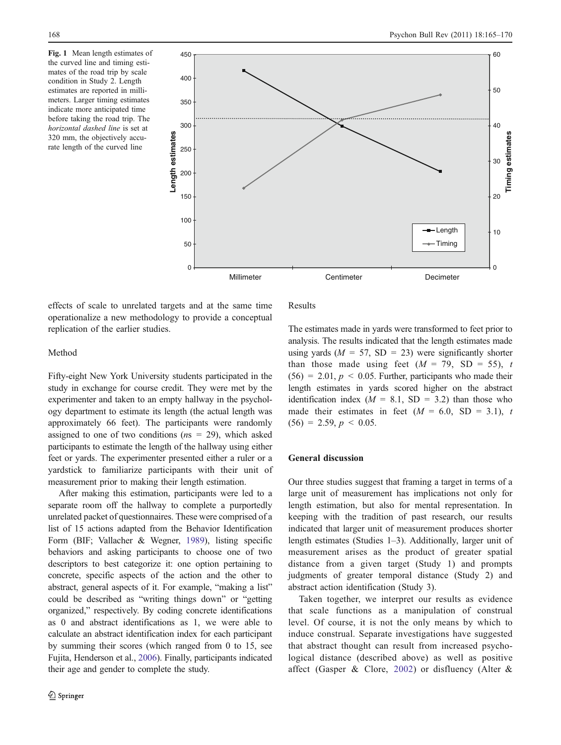<span id="page-3-0"></span>Fig. 1 Mean length estimates of the curved line and timing estimates of the road trip by scale condition in Study 2. Length estimates are reported in millimeters. Larger timing estimates indicate more anticipated time before taking the road trip. The horizontal dashed line is set at 320 mm, the objectively accurate length of the curved line



effects of scale to unrelated targets and at the same time operationalize a new methodology to provide a conceptual replication of the earlier studies.

# Method

Fifty-eight New York University students participated in the study in exchange for course credit. They were met by the experimenter and taken to an empty hallway in the psychology department to estimate its length (the actual length was approximately 66 feet). The participants were randomly assigned to one of two conditions ( $ns = 29$ ), which asked participants to estimate the length of the hallway using either feet or yards. The experimenter presented either a ruler or a yardstick to familiarize participants with their unit of measurement prior to making their length estimation.

After making this estimation, participants were led to a separate room off the hallway to complete a purportedly unrelated packet of questionnaires. These were comprised of a list of 15 actions adapted from the Behavior Identification Form (BIF; Vallacher & Wegner, [1989](#page-5-0)), listing specific behaviors and asking participants to choose one of two descriptors to best categorize it: one option pertaining to concrete, specific aspects of the action and the other to abstract, general aspects of it. For example, "making a list" could be described as "writing things down" or "getting organized," respectively. By coding concrete identifications as 0 and abstract identifications as 1, we were able to calculate an abstract identification index for each participant by summing their scores (which ranged from 0 to 15, see Fujita, Henderson et al., [2006\)](#page-4-0). Finally, participants indicated their age and gender to complete the study.

Results

The estimates made in yards were transformed to feet prior to analysis. The results indicated that the length estimates made using yards ( $M = 57$ , SD = 23) were significantly shorter than those made using feet  $(M = 79, SD = 55)$ , t  $(56) = 2.01, p \le 0.05$ . Further, participants who made their length estimates in yards scored higher on the abstract identification index  $(M = 8.1, SD = 3.2)$  than those who made their estimates in feet  $(M = 6.0, SD = 3.1), t$  $(56) = 2.59, p \le 0.05.$ 

## General discussion

Our three studies suggest that framing a target in terms of a large unit of measurement has implications not only for length estimation, but also for mental representation. In keeping with the tradition of past research, our results indicated that larger unit of measurement produces shorter length estimates (Studies 1–3). Additionally, larger unit of measurement arises as the product of greater spatial distance from a given target (Study 1) and prompts judgments of greater temporal distance (Study 2) and abstract action identification (Study 3).

Taken together, we interpret our results as evidence that scale functions as a manipulation of construal level. Of course, it is not the only means by which to induce construal. Separate investigations have suggested that abstract thought can result from increased psychological distance (described above) as well as positive affect (Gasper & Clore, [2002\)](#page-4-0) or disfluency (Alter &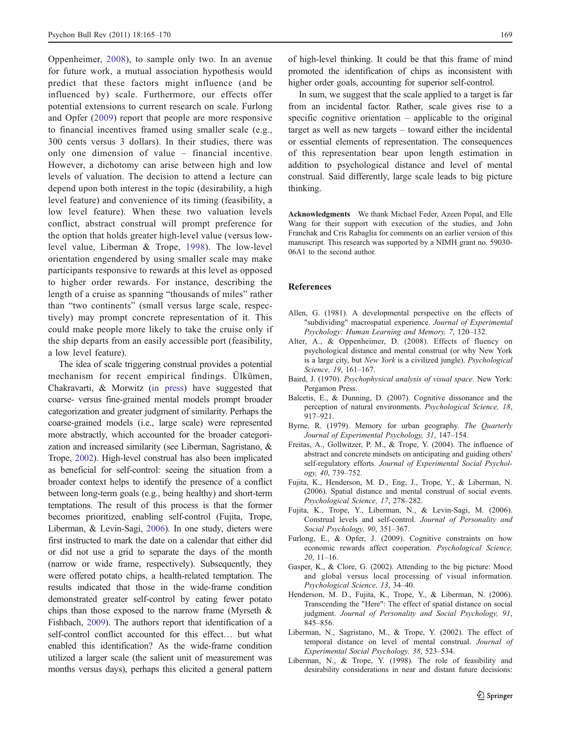<span id="page-4-0"></span>Oppenheimer, 2008), to sample only two. In an avenue for future work, a mutual association hypothesis would predict that these factors might influence (and be influenced by) scale. Furthermore, our effects offer potential extensions to current research on scale. Furlong and Opfer (2009) report that people are more responsive to financial incentives framed using smaller scale (e.g., 300 cents versus 3 dollars). In their studies, there was only one dimension of value – financial incentive. However, a dichotomy can arise between high and low levels of valuation. The decision to attend a lecture can depend upon both interest in the topic (desirability, a high level feature) and convenience of its timing (feasibility, a low level feature). When these two valuation levels conflict, abstract construal will prompt preference for the option that holds greater high-level value (versus lowlevel value, Liberman & Trope, 1998). The low-level orientation engendered by using smaller scale may make participants responsive to rewards at this level as opposed to higher order rewards. For instance, describing the length of a cruise as spanning "thousands of miles" rather than "two continents" (small versus large scale, respectively) may prompt concrete representation of it. This could make people more likely to take the cruise only if the ship departs from an easily accessible port (feasibility, a low level feature).

The idea of scale triggering construal provides a potential mechanism for recent empirical findings. Ülkümen, Chakravarti, & Morwitz [\(in press](#page-5-0)) have suggested that coarse- versus fine-grained mental models prompt broader categorization and greater judgment of similarity. Perhaps the coarse-grained models (i.e., large scale) were represented more abstractly, which accounted for the broader categorization and increased similarity (see Liberman, Sagristano, & Trope, 2002). High-level construal has also been implicated as beneficial for self-control: seeing the situation from a broader context helps to identify the presence of a conflict between long-term goals (e.g., being healthy) and short-term temptations. The result of this process is that the former becomes prioritized, enabling self-control (Fujita, Trope, Liberman, & Levin-Sagi, 2006). In one study, dieters were first instructed to mark the date on a calendar that either did or did not use a grid to separate the days of the month (narrow or wide frame, respectively). Subsequently, they were offered potato chips, a health-related temptation. The results indicated that those in the wide-frame condition demonstrated greater self-control by eating fewer potato chips than those exposed to the narrow frame (Myrseth  $\&$ Fishbach, [2009\)](#page-5-0). The authors report that identification of a self-control conflict accounted for this effect… but what enabled this identification? As the wide-frame condition utilized a larger scale (the salient unit of measurement was months versus days), perhaps this elicited a general pattern

of high-level thinking. It could be that this frame of mind promoted the identification of chips as inconsistent with higher order goals, accounting for superior self-control.

In sum, we suggest that the scale applied to a target is far from an incidental factor. Rather, scale gives rise to a specific cognitive orientation – applicable to the original target as well as new targets – toward either the incidental or essential elements of representation. The consequences of this representation bear upon length estimation in addition to psychological distance and level of mental construal. Said differently, large scale leads to big picture thinking.

Acknowledgments We thank Michael Feder, Azeen Popal, and Elle Wang for their support with execution of the studies, and John Franchak and Cris Rabaglia for comments on an earlier version of this manuscript. This research was supported by a NIMH grant no. 59030- 06A1 to the second author.

#### References

- Allen, G. (1981). A developmental perspective on the effects of "subdividing" macrospatial experience. Journal of Experimental Psychology: Human Learning and Memory, 7, 120–132.
- Alter, A., & Oppenheimer, D. (2008). Effects of fluency on psychological distance and mental construal (or why New York is a large city, but New York is a civilized jungle). Psychological Science, 19, 161–167.
- Baird, J. (1970). Psychophysical analysis of visual space. New York: Pergamon Press.
- Balcetis, E., & Dunning, D. (2007). Cognitive dissonance and the perception of natural environments. Psychological Science, 18, 917–921.
- Byrne, R. (1979). Memory for urban geography. The Quarterly Journal of Experimental Psychology, 31, 147–154.
- Freitas, A., Gollwitzer, P. M., & Trope, Y. (2004). The influence of abstract and concrete mindsets on anticipating and guiding others' self-regulatory efforts. Journal of Experimental Social Psychology, 40, 739–752.
- Fujita, K., Henderson, M. D., Eng, J., Trope, Y., & Liberman, N. (2006). Spatial distance and mental construal of social events. Psychological Science, 17, 278–282.
- Fujita, K., Trope, Y., Liberman, N., & Levin-Sagi, M. (2006). Construal levels and self-control. Journal of Personality and Social Psychology, 90, 351–367.
- Furlong, E., & Opfer, J. (2009). Cognitive constraints on how economic rewards affect cooperation. Psychological Science, 20, 11–16.
- Gasper, K., & Clore, G. (2002). Attending to the big picture: Mood and global versus local processing of visual information. Psychological Science, 13, 34–40.
- Henderson, M. D., Fujita, K., Trope, Y., & Liberman, N. (2006). Transcending the "Here": The effect of spatial distance on social judgment. Journal of Personality and Social Psychology, 91, 845–856.
- Liberman, N., Sagristano, M., & Trope, Y. (2002). The effect of temporal distance on level of mental construal. Journal of Experimental Social Psychology, 38, 523–534.
- Liberman, N., & Trope, Y. (1998). The role of feasibility and desirability considerations in near and distant future decisions: